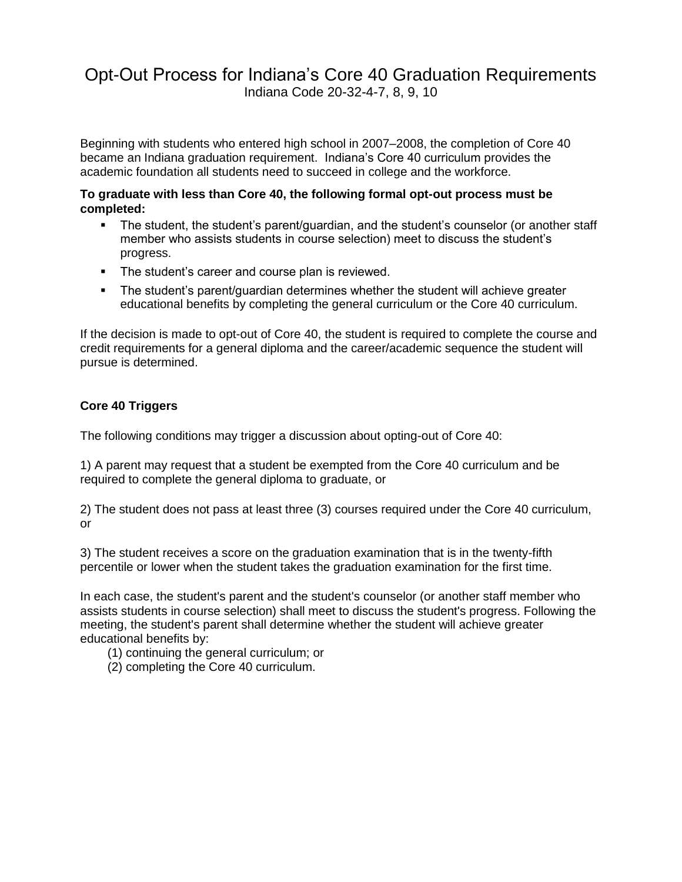# Opt-Out Process for Indiana's Core 40 Graduation Requirements Indiana Code 20-32-4-7, 8, 9, 10

Beginning with students who entered high school in 2007–2008, the completion of Core 40 became an Indiana graduation requirement. Indiana's Core 40 curriculum provides the academic foundation all students need to succeed in college and the workforce.

#### **To graduate with less than Core 40, the following formal opt-out process must be completed:**

- The student, the student's parent/guardian, and the student's counselor (or another staff member who assists students in course selection) meet to discuss the student's progress.
- The student's career and course plan is reviewed.
- The student's parent/guardian determines whether the student will achieve greater educational benefits by completing the general curriculum or the Core 40 curriculum.

If the decision is made to opt-out of Core 40, the student is required to complete the course and credit requirements for a general diploma and the career/academic sequence the student will pursue is determined.

## **Core 40 Triggers**

The following conditions may trigger a discussion about opting-out of Core 40:

1) A parent may request that a student be exempted from the Core 40 curriculum and be required to complete the general diploma to graduate, or

2) The student does not pass at least three (3) courses required under the Core 40 curriculum, or

3) The student receives a score on the graduation examination that is in the twenty-fifth percentile or lower when the student takes the graduation examination for the first time.

In each case, the student's parent and the student's counselor (or another staff member who assists students in course selection) shall meet to discuss the student's progress. Following the meeting, the student's parent shall determine whether the student will achieve greater educational benefits by:

- (1) continuing the general curriculum; or
- (2) completing the Core 40 curriculum.